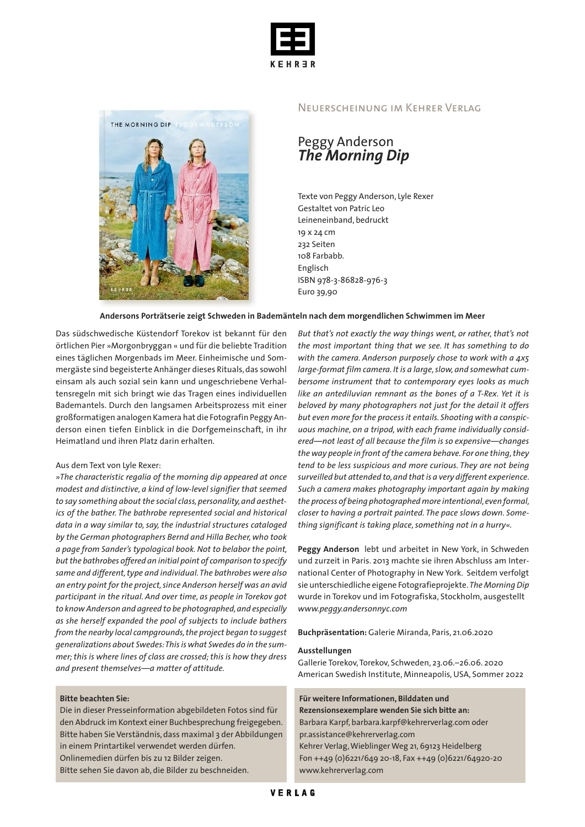



#### Neuerscheinung im Kehrer Verlag

## Peggy Anderson *The Morning Dip*

Texte von Peggy Anderson, Lyle Rexer Gestaltet von Patric Leo Leineneinband, bedruckt 19 x 24 cm 232 Seiten 108 Farbabb. Englisch ISBN 978-3-86828-976-3 Euro 39,90

#### **Andersons Porträtserie zeigt Schweden in Bademänteln nach dem morgendlichen Schwimmen im Meer**

Das südschwedische Küstendorf Torekov ist bekannt für den örtlichen Pier »Morgonbryggan « und für die beliebte Tradition eines täglichen Morgenbads im Meer. Einheimische und Sommergäste sind begeisterte Anhänger dieses Rituals,das sowohl einsam als auch sozial sein kann und ungeschriebene Verhaltensregeln mit sich bringt wie das Tragen eines individuellen Bademantels. Durch den langsamen Arbeitsprozess mit einer großformatigen analogen Kamera hat die Fotografin Peggy Anderson einen tiefen Einblick in die Dorfgemeinschaft, in ihr Heimatland und ihren Platz darin erhalten.

#### Aus dem Text von Lyle Rexer:

*»The characteristic regalia of the morning dip appeared at once modest and distinctive, a kind of low-level signifier that seemed* to say something about the social class, personality, and aesthet*ics of the bather. The bathrobe represented social and historical data in a way similar to, say, the industrial structures cataloged by the German photographers Bernd and Hilla Becher, who took a page from Sander's typological book.Not to belabor the point, butthe bathrobes offered an initial point of comparison to specify same and different,type and individual.The bathrobes were also an entry point for the project,since Anderson herself was an avid participant in the ritual. And over time, as people in Torekov got to know Anderson and agreed to be photographed,and especially as she herself expanded the pool of subjects to include bathers from the nearby local campgrounds,the project began to suggest generalizations about Swedes:Thisis what Swedes do in the summer;this is where lines of class are crossed;this is how they dress and present themselves—a matter of attitude.*

#### **Bitte beachten Sie:**

Die in dieser Presseinformation abgebildeten Fotos sind für den Abdruck im Kontext einer Buchbesprechung freigegeben. Bitte haben Sie Verständnis, dass maximal 3 der Abbildungen in einem Printartikel verwendet werden dürfen. Onlinemedien dürfen bis zu 12 Bilder zeigen.

Bitte sehen Sie davon ab, die Bilder zu beschneiden.

*But that's not exactly the way things went, or rather, that's not the most important thing that we see. It has something to do with the camera. Anderson purposely chose to work with a 4x5 large-format film camera. It is a large,slow, and somewhat cumbersome instrument that to contemporary eyes looks as much like an antediluvian remnant as the bones of a T-Rex. Yet it is beloved by many photographers not just for the detail it offers but even more for the process it entails. Shooting with a conspicuous machine, on a tripod, with each frame individually considered—not least of all because the film is so expensive—changes the way people in front ofthe camera behave. For one thing,they tend to be less suspicious and more curious. They are not being surveilled but attended to,and thatis a very different experience. Such a camera makes photography important again by making the process of being photographed more intentional,even formal, closer to having a portrait painted. The pace slows down. Something significant is taking place,something not in a hurry«.*

**Peggy Anderson** lebt und arbeitet in New York, in Schweden und zurzeit in Paris. 2013 machte sie ihren Abschluss am International Center of Photography in New York. Seitdem verfolgt sie unterschiedliche eigene Fotografieprojekte.*The MorningDip* wurde in Torekov und im Fotografiska, Stockholm, ausgestellt *www.peggy.andersonnyc.com*

**Buchpräsentation:** Galerie Miranda, Paris, 21.06.2020

#### **Ausstellungen**

Gallerie Torekov, Torekov, Schweden, 23.06.–26.06. 2020 American Swedish Institute, Minneapolis,USA, Sommer 2022

**Für weitere Informationen, Bilddaten und Rezensionsexemplare wenden Sie sich bitte an:** Barbara Karpf, barbara.karpf@kehrerverlag.com oder pr.assistance@kehrerverlag.com Kehrer Verlag,Wieblinger Weg 21, 69123 Heidelberg Fon ++49 (0)6221/649 20-18, Fax ++49 (0)6221/64920-20 www.kehrerverlag.com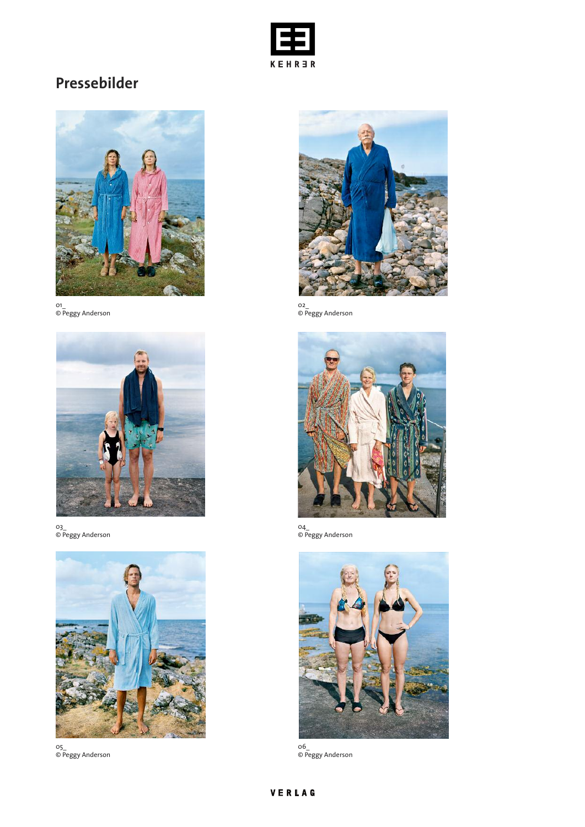

# **Pressebilder**



01\_ © Peggy Anderson



03\_ © Peggy Anderson



05\_ © Peggy Anderson



02\_ © Peggy Anderson



04\_ © Peggy Anderson



06\_ © Peggy Anderson

## VERLAG